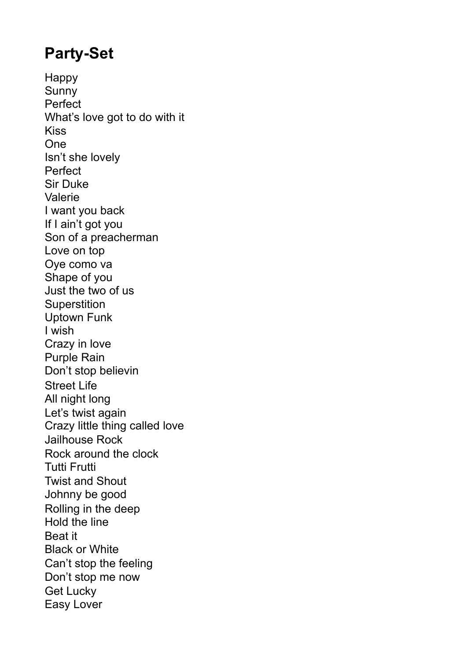## **Party-Set**

Happy Sunny Perfect What's love got to do with it Kiss One Isn't she lovely Perfect Sir Duke Valerie I want you back If I ain't got you Son of a preacherman Love on top Oye como va Shape of you Just the two of us **Superstition** Uptown Funk I wish Crazy in love Purple Rain Don't stop believin Street Life All night long Let's twist again Crazy little thing called love Jailhouse Rock Rock around the clock Tutti Frutti Twist and Shout Johnny be good Rolling in the deep Hold the line Beat it Black or White Can't stop the feeling Don't stop me now Get Lucky Easy Lover